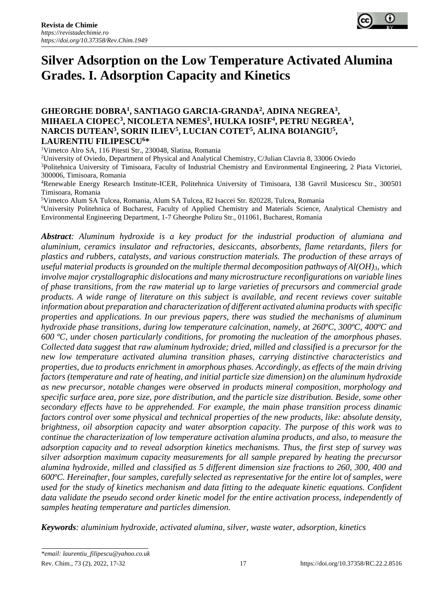

# **Silver Adsorption on the Low Temperature Activated Alumina Grades. I. Adsorption Capacity and Kinetics**

## **GHEORGHE DOBRA<sup>1</sup> , SANTIAGO GARCIA-GRANDA<sup>2</sup> , ADINA NEGREA<sup>3</sup> , MIHAELA CIOPEC<sup>3</sup> , NICOLETA NEMES<sup>3</sup> , HULKA IOSIF<sup>4</sup> , PETRU NEGREA<sup>3</sup> , NARCIS DUTEAN<sup>3</sup> , SORIN ILIEV<sup>5</sup> , LUCIAN COTET<sup>5</sup> , ALINA BOIANGIU<sup>5</sup> , LAURENTIU FILIPESCU<sup>6</sup>\***

<sup>1</sup>Vimetco Alro SA, 116 Pitesti Str., 230048, Slatina, Romania

<sup>2</sup>University of Oviedo, Department of Physical and Analytical Chemistry, C/Julian Clavria 8, 33006 Oviedo

<sup>3</sup>Politehnica University of Timisoara, Faculty of Industrial Chemistry and Environmental Engineering, 2 Piata Victoriei, 300006, Timisoara, Romania

<sup>4</sup>Renewable Energy Research Institute-ICER, Politehnica University of Timisoara, 138 Gavril Musicescu Str., 300501 Timisoara, Romania

<sup>5</sup>Vimetco Alum SA Tulcea, Romania, Alum SA Tulcea, 82 Isaccei Str. 820228, Tulcea, Romania

<sup>6</sup>University Politehnica of Bucharest, Faculty of Applied Chemistry and Materials Science, Analytical Chemistry and Environmental Engineering Department, 1-7 Gheorghe Polizu Str., 011061, Bucharest, Romania

*Abstract: Aluminum hydroxide is a key product for the industrial production of alumiana and aluminium, ceramics insulator and refractories, desiccants, absorbents, flame retardants, filers for plastics and rubbers, catalysts, and various construction materials. The production of these arrays of useful material products is grounded on the multiple thermal decomposition pathways of Al(OH)3, which involve major crystallographic dislocations and many microstructure reconfigurations on variable lines of phase transitions, from the raw material up to large varieties of precursors and commercial grade products. A wide range of literature on this subject is available, and recent reviews cover suitable information about preparation and characterization of different activated alumina products with specific properties and applications. In our previous papers, there was studied the mechanisms of aluminum hydroxide phase transitions, during low temperature calcination, namely, at 260ºC, 300ºC, 400ºC and 600 ºC, under chosen particularly conditions, for promoting the nucleation of the amorphous phases. Collected data suggest that raw aluminum hydroxide; dried, milled and classified is a precursor for the new low temperature activated alumina transition phases, carrying distinctive characteristics and properties, due to products enrichment in amorphous phases. Accordingly, as effects of the main driving factors (temperature and rate of heating, and initial particle size dimension) on the aluminum hydroxide as new precursor, notable changes were observed in products mineral composition, morphology and specific surface area, pore size, pore distribution, and the particle size distribution. Beside, some other secondary effects have to be apprehended. For example, the main phase transition process dinamic factors control over some physical and technical properties of the new products, like: absolute density, brightness, oil absorption capacity and water absorption capacity. The purpose of this work was to continue the characterization of low temperature activation alumina products, and also, to measure the adsorption capacity and to reveal adsorption kinetics mechanisms. Thus, the first step of survey was silver adsorption maximum capacity measurements for all sample prepared by heating the precursor alumina hydroxide, milled and classified as 5 different dimension size fractions to 260, 300, 400 and 600ºC. Hereinafter, four samples, carefully selected as representative for the entire lot of samples, were used for the study of kinetics mechanism and data fitting to the adequate kinetic equations. Confident data validate the pseudo second order kinetic model for the entire activation process, independently of samples heating temperature and particles dimension.* 

*Keywords: aluminium hydroxide, activated alumina, silver, waste water, adsorption, kinetics*

Rev. Chim., 73 (2), 2022, 17-32 17 17 https://doi.org/10.37358/RC.22.2.8516 *\*email: laurentiu\_filipescu@yahoo.co.uk*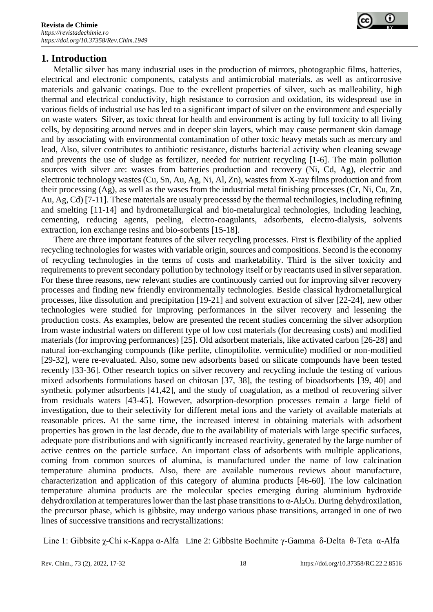

# **1. Introduction**

Metallic silver has many industrial uses in the production of mirrors, photographic films, batteries, electrical and electronic components, catalysts and antimicrobial materials. as well as anticorrosive materials and galvanic coatings. Due to the excellent properties of silver, such as malleability, high thermal and electrical conductivity, high resistance to corrosion and oxidation, its widespread use in various fields of industrial use has led to a significant impact of silver on the environment and especially on waste waters Silver, as toxic threat for health and environment is acting by full toxicity to all living cells, by depositing around nerves and in deeper skin layers, which may cause permanent skin damage and by associating with environmental contamination of other toxic heavy metals such as mercury and lead, Also, silver contributes to antibiotic resistance, disturbs bacterial activity when cleaning sewage and prevents the use of sludge as fertilizer, needed for nutrient recycling [1-6]. The main pollution sources with silver are: wastes from batteries production and recovery (Ni, Cd, Ag), electric and electronic technology wastes (Cu, Sn, Au, Ag, Ni, Al, Zn), wastes from X-ray films production and from their processing (Ag), as well as the wases from the industrial metal finishing processes (Cr, Ni, Cu, Zn, Au, Ag, Cd) [7-11]. These materials are usualy preocesssd by the thermal technilogies, including refining and smelting [11-14] and hydrometallurgical and bio-metalurgical technologies, including leaching, cementing, reducing agents, peeling, electro-coagulants, adsorbents, electro-dialysis, solvents extraction, ion exchange resins and bio-sorbents [15-18].

There are three important features of the silver recycling processes. First is flexibility of the applied recycling technologies for wastes with variable origin, sources and compositions. Second is the economy of recycling technologies in the terms of costs and marketability. Third is the silver toxicity and requirements to prevent secondary pollution by technology itself or by reactants used in silver separation. For these three reasons, new relevant studies are continuously carried out for improving silver recovery processes and finding new friendly environmentally technologies. Beside classical hydrometallurgical processes, like dissolution and precipitation [19-21] and solvent extraction of silver [22-24], new other technologies were studied for improving performances in the silver recovery and lessening the production costs. As examples, below are presented the recent studies concerning the silver adsorption from waste industrial waters on different type of low cost materials (for decreasing costs) and modified materials (for improving performances) [25]. Old adsorbent materials, like activated carbon [26-28] and natural ion-exchanging compounds (like perlite, clinoptilolite. vermiculite) modified or non-modified [29-32], were re-evaluated. Also, some new adsorbents based on silicate compounds have been tested recently [33-36]. Other research topics on silver recovery and recycling include the testing of various mixed adsorbents formulations based on chitosan [37, 38], the testing of bioadsorbents [39, 40] and synthetic polymer adsorbents [41,42], and the study of coagulation, as a method of recovering silver from residuals waters [43-45]. However, adsorption-desorption processes remain a large field of investigation, due to their selectivity for different metal ions and the variety of available materials at reasonable prices. At the same time, the increased interest in obtaining materials with adsorbent properties has grown in the last decade, due to the availability of materials with large specific surfaces, adequate pore distributions and with significantly increased reactivity, generated by the large number of active centres on the particle surface. An important class of adsorbents with multiple applications, coming from common sources of alumina, is manufactured under the name of low calcination temperature alumina products. Also, there are available numerous reviews about manufacture, characterization and application of this category of alumina products [46-60]. The low calcination temperature alumina products are the molecular species emerging during aluminium hydroxide dehydroxilation at temperatures lower than the last phase transitions to  $\alpha$ -Al<sub>2</sub>O<sub>3</sub>. During dehydroxilation, the precursor phase, which is gibbsite, may undergo various phase transitions, arranged in one of two lines of successive transitions and recrystallizations:

Line 1: Gibbsite χ-Chi κ-Kappa α-Alfa Line 2: Gibbsite Boehmite γ-Gamma δ-Delta θ-Teta α-Alfa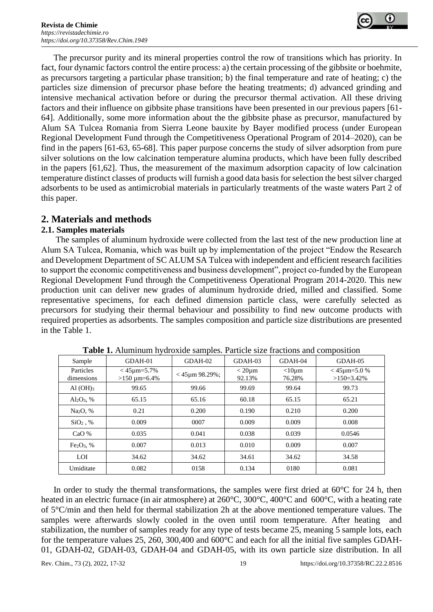

The precursor purity and its mineral properties control the row of transitions which has priority. In fact, four dynamic factors control the entire process: a) the certain processing of the gibbsite or boehmite, as precursors targeting a particular phase transition; b) the final temperature and rate of heating; c) the particles size dimension of precursor phase before the heating treatments; d) advanced grinding and intensive mechanical activation before or during the precursor thermal activation. All these driving factors and their influence on gibbsite phase transitions have been presented in our previous papers [61- 64]. Additionally, some more information about the the gibbsite phase as precursor, manufactured by Alum SA Tulcea Romania from Sierra Leone bauxite by Bayer modified process (under European Regional Development Fund through the Competitiveness Operational Program of 2014–2020), can be find in the papers [61-63, 65-68]. This paper purpose concerns the study of silver adsorption from pure silver solutions on the low calcination temperature alumina products, which have been fully described in the papers [61,62]. Thus, the measurement of the maximum adsorption capacity of low calcination temperature distinct classes of products will furnish a good data basis for selection the best silver charged adsorbents to be used as antimicrobial materials in particularly treatments of the waste waters Part 2 of this paper.

## **2. Materials and methods**

## **2.1. Samples materials**

The samples of aluminum hydroxide were collected from the last test of the new production line at Alum SA Tulcea, Romania, which was built up by implementation of the project "Endow the Research and Development Department of SC ALUM SA Tulcea with independent and efficient research facilities to support the economic competitiveness and business development", project co-funded by the European Regional Development Fund through the Competitiveness Operational Program 2014-2020. This new production unit can deliver new grades of aluminum hydroxide dried, milled and classified. Some representative specimens, for each defined dimension particle class, were carefully selected as precursors for studying their thermal behaviour and possibility to find new outcome products with required properties as adsorbents. The samples composition and particle size distributions are presented in the Table 1.

| Sample                  | $GDAH-01$                                   | GDAH-02                      | $GDAH-03$                | $GDAH-04$                | $GDAH-05$                             |
|-------------------------|---------------------------------------------|------------------------------|--------------------------|--------------------------|---------------------------------------|
| Particles<br>dimensions | $<$ 45 $\mu$ m=5.7%<br>$>150 \mu m = 6.4\%$ | $<$ 45 <sub>um</sub> 98.29%; | $<$ 20 $\mu$ m<br>92.13% | $<$ 10 $\mu$ m<br>76.28% | $<$ 45 $\mu$ m=5.0 %<br>$>150=3.42\%$ |
| Al(OH) <sub>3</sub>     | 99.65                                       | 99.66                        | 99.69                    | 99.64                    | 99.73                                 |
| $Al_2O_3$ , %           | 65.15                                       | 65.16                        | 60.18                    | 65.15                    | 65.21                                 |
| Na <sub>2</sub> O, %    | 0.21                                        | 0.200                        | 0.190                    | 0.210                    | 0.200                                 |
| $SiO2$ , %              | 0.009                                       | 0007                         | 0.009                    | 0.009                    | 0.008                                 |
| CaO %                   | 0.035                                       | 0.041                        | 0.038                    | 0.039                    | 0.0546                                |
| $Fe2O3$ , %             | 0.007                                       | 0.013                        | 0.010                    | 0.009                    | 0.007                                 |
| LOI                     | 34.62                                       | 34.62                        | 34.61                    | 34.62                    | 34.58                                 |
| Umiditate               | 0.082                                       | 0158                         | 0.134                    | 0180                     | 0.081                                 |
|                         |                                             |                              |                          |                          |                                       |

**Table 1.** Aluminum hydroxide samples. Particle size fractions and composition

In order to study the thermal transformations, the samples were first dried at  $60^{\circ}$ C for 24 h, then heated in an electric furnace (in air atmosphere) at 260°C, 300°C, 400°C and 600°C, with a heating rate of 5°C/min and then held for thermal stabilization 2h at the above mentioned temperature values. The samples were afterwards slowly cooled in the oven until room temperature. After heating and stabilization, the number of samples ready for any type of tests became 25, meaning 5 sample lots, each for the temperature values 25, 260, 300,400 and 600°C and each for all the initial five samples GDAH-01, GDAH-02, GDAH-03, GDAH-04 and GDAH-05, with its own particle size distribution. In all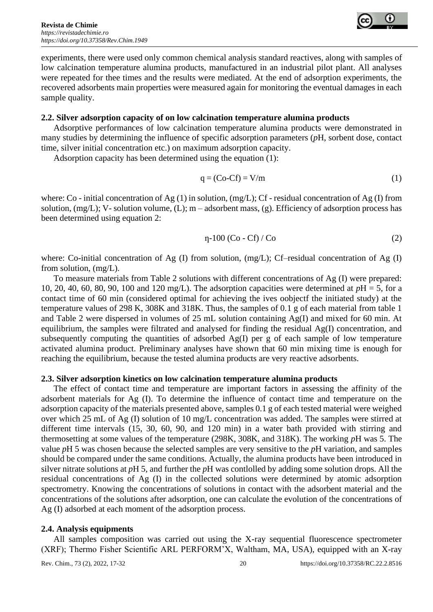

experiments, there were used only common chemical analysis standard reactives, along with samples of low calcination temperature alumina products, manufactured in an industrial pilot plant. All analyses were repeated for thee times and the results were mediated. At the end of adsorption experiments, the recovered adsorbents main properties were measured again for monitoring the eventual damages in each sample quality.

## **2.2. Silver adsorption capacity of on low calcination temperature alumina products**

Adsorptive performances of low calcination temperature alumina products were demonstrated in many studies by determining the influence of specific adsorption parameters (*p*H, sorbent dose, contact time, silver initial concentration etc.) on maximum adsorption capacity.

Adsorption capacity has been determined using the equation (1):

$$
q = (Co - Cf) = V/m
$$
 (1)

where: Co - initial concentration of Ag (1) in solution, (mg/L); Cf - residual concentration of Ag (I) from solution, (mg/L); V- solution volume, (L); m – adsorbent mass, (g). Efficiency of adsorption process has been determined using equation 2:

$$
\eta - 100 \left( \text{Co} - \text{Cf} \right) / \text{Co} \tag{2}
$$

where: Co-initial concentration of Ag (I) from solution, (mg/L); Cf–residual concentration of Ag (I) from solution, (mg/L).

To measure materials from Table 2 solutions with different concentrations of Ag (I) were prepared: 10, 20, 40, 60, 80, 90, 100 and 120 mg/L). The adsorption capacities were determined at *p*H = 5, for a contact time of 60 min (considered optimal for achieving the ives oobjectf the initiated study) at the temperature values of 298 K, 308K and 318K. Thus, the samples of 0.1 g of each material from table 1 and Table 2 were dispersed in volumes of 25 mL solution containing Ag(I) and mixed for 60 min. At equilibrium, the samples were filtrated and analysed for finding the residual Ag(I) concentration, and subsequently computing the quantities of adsorbed  $Ag(I)$  per g of each sample of low temperature activated alumina product. Preliminary analyses have shown that 60 min mixing time is enough for reaching the equilibrium, because the tested alumina products are very reactive adsorbents.

#### **2.3. Silver adsorption kinetics on low calcination temperature alumina products**

The effect of contact time and temperature are important factors in assessing the affinity of the adsorbent materials for Ag (I). To determine the influence of contact time and temperature on the adsorption capacity of the materials presented above, samples 0.1 g of each tested material were weighed over which 25 mL of Ag (I) solution of 10 mg/L concentration was added. The samples were stirred at different time intervals (15, 30, 60, 90, and 120 min) in a water bath provided with stirring and thermosetting at some values of the temperature (298K, 308K, and 318K). The working *p*H was 5. The value *p*H 5 was chosen because the selected samples are very sensitive to the *p*H variation, and samples should be compared under the same conditions. Actually, the alumina products have been introduced in silver nitrate solutions at *p*H 5, and further the *p*H was contlolled by adding some solution drops. All the residual concentrations of Ag (I) in the collected solutions were determined by atomic adsorption spectrometry. Knowing the concentrations of solutions in contact with the adsorbent material and the concentrations of the solutions after adsorption, one can calculate the evolution of the concentrations of Ag (I) adsorbed at each moment of the adsorption process.

#### **2.4. Analysis equipments**

All samples composition was carried out using the X-ray sequential fluorescence spectrometer (XRF); Thermo Fisher Scientific ARL PERFORM'X, Waltham, MA, USA), equipped with an X-ray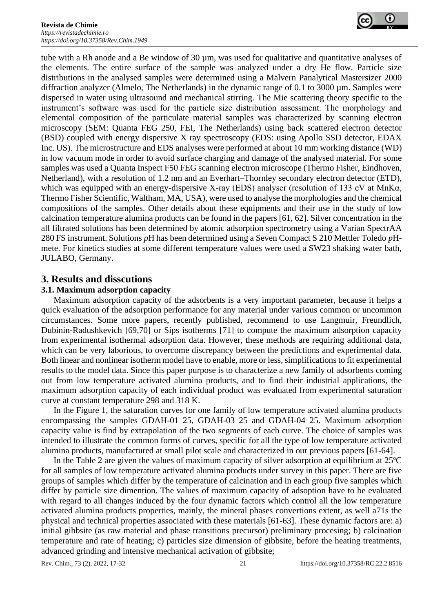

tube with a Rh anode and a Be window of 30 µm, was used for qualitative and quantitative analyses of the elements. The entire surface of the sample was analyzed under a dry He flow. Particle size distributions in the analysed samples were determined using a Malvern Panalytical Mastersizer 2000 diffraction analyzer (Almelo, The Netherlands) in the dynamic range of 0.1 to 3000 µm. Samples were dispersed in water using ultrasound and mechanical stirring. The Mie scattering theory specific to the instrument's software was used for the particle size distribution assessment. The morphology and elemental composition of the particulate material samples was characterized by scanning electron microscopy (SEM: Quanta FEG 250, FEI, The Netherlands) using back scattered electron detector (BSD) coupled with energy dispersive X ray spectroscopy (EDS: using Apollo SSD detector, EDAX Inc. US). The microstructure and EDS analyses were performed at about 10 mm working distance (WD) in low vacuum mode in order to avoid surface charging and damage of the analysed material. For some samples was used a Quanta Inspect F50 FEG scanning electron microscope (Thermo Fisher, Eindhoven, Netherland), with a resolution of 1.2 nm and an Everhart–Thornley secondary electron detector (ETD), which was equipped with an energy-dispersive X-ray (EDS) analyser (resolution of 133 eV at MnKα, Thermo Fisher Scientific, Waltham, MA, USA), were used to analyse the morphologies and the chemical compositions of the samples. Other details about these equipments and their use in the study of low calcination temperature alumina products can be found in the papers [61, 62]. Silver concentration in the all filtrated solutions has been determined by atomic adsorption spectrometry using a Varian SpectrAA 280 FS instrument. Solutions *p*H has been determined using a Seven Compact S 210 Mettler Toledo *p*Hmete. For kinetics studies at some different temperature values were used a SW23 shaking water bath, JULABO, Germany.

## **3. Results and disscutions**

## **3.1. Maximum adsorption capacity**

Maximum adsorption capacity of the adsorbents is a very important parameter, because it helps a quick evaluation of the adsorption performance for any material under various common or uncommon circumstances. Some more papers, recently published, recommend to use Langmuir, Freundlich, Dubinin-Radushkevich [69,70] or Sips isotherms [71] to compute the maximum adsorption capacity from experimental isothermal adsorption data. However, these methods are requiring additional data, which can be very laborious, to overcome discrepancy between the predictions and experimental data. Both linear and nonlinear isotherm model have to enable, more or less, simplifications to fit experimental results to the model data. Since this paper purpose is to characterize a new family of adsorbents coming out from low temperature activated alumina products, and to find their industrial applications, the maximum adsorption capacity of each individual product was evaluated from experimental saturation curve at constant temperature 298 and 318 K.

In the Figure 1, the saturation curves for one family of low temperature activated alumina products encompassing the samples GDAH-01 25, GDAH-03 25 and GDAH-04 25. Maximum adsorption capacity value is find by extrapolation of the two segments of each curve. The choice of samples was intended to illustrate the common forms of curves, specific for all the type of low temperature activated alumina products, manufactured at small pilot scale and characterized in our previous papers [61-64].

In the Table 2 are given the values of maximum capacity of silver adsorption at equilibrium at 25ºC for all samples of low temperature activated alumina products under survey in this paper. There are five groups of samples which differ by the temperature of calcination and in each group five samples which differ by particle size dimention. The values of maximum capacity of adsoption have to be evaluated with regard to all changes induced by the four dynamic factors which control all the low temperature activated alumina products properties, mainly, the mineral phases convertions extent, as well a71s the physical and technical properties associated with these materials [61-63]. These dynamic factors are: a) initial gibbsite (as raw material and phase transitions precursor) preliminary procesing; b) calcination temperature and rate of heating; c) particles size dimension of gibbsite, before the heating treatments, advanced grinding and intensive mechanical activation of gibbsite;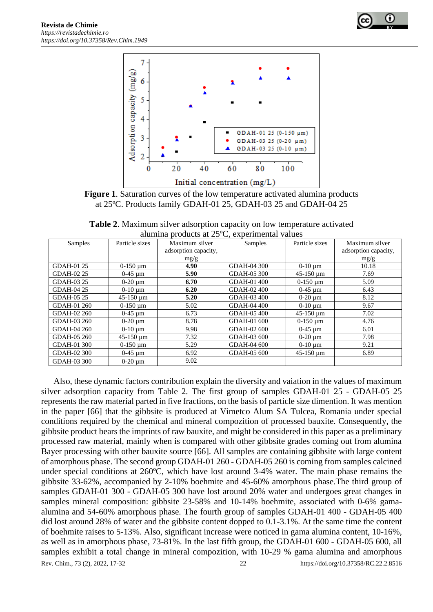



**Figure 1**. Saturation curves of the low temperature activated alumina products at 25ºC. Products family GDAH-01 25, GDAH-03 25 and GDAH-04 25

**Table 2**. Maximum silver adsorption capacity on low temperature activated alumina products at 25ºC, experimental values

| $\alpha$ and $\beta$ and $\beta$ and $\beta$ and $\beta$ and $\beta$ and $\beta$ and $\beta$ and $\beta$ and $\beta$ and $\beta$ and $\beta$ and $\beta$ and $\beta$ and $\beta$ and $\beta$ and $\beta$ and $\beta$ and $\beta$ and $\alpha$ and $\beta$ and $\alpha$ and $\alpha$ and $\alpha$ and $\alpha$ |                             |                      |             |                             |                      |  |  |  |
|---------------------------------------------------------------------------------------------------------------------------------------------------------------------------------------------------------------------------------------------------------------------------------------------------------------|-----------------------------|----------------------|-------------|-----------------------------|----------------------|--|--|--|
| Samples                                                                                                                                                                                                                                                                                                       | Particle sizes              | Maximum silver       | Samples     | Particle sizes              | Maximum silver       |  |  |  |
|                                                                                                                                                                                                                                                                                                               |                             | adsorption capacity, |             |                             | adsorption capacity, |  |  |  |
|                                                                                                                                                                                                                                                                                                               |                             | mg/g                 |             |                             | mg/g                 |  |  |  |
| <b>GDAH-01 25</b>                                                                                                                                                                                                                                                                                             | $0-150 \mu m$               | 4.90                 | GDAH-04 300 | $0-10 \mu m$                | 10.18                |  |  |  |
| GDAH-02 25                                                                                                                                                                                                                                                                                                    | $0-45 \mu m$                | 5.90                 | GDAH-05 300 | $45-150 \,\mathrm{\upmu m}$ | 7.69                 |  |  |  |
| GDAH-03 25                                                                                                                                                                                                                                                                                                    | $0-20 \mu m$                | 6.70                 | GDAH-01 400 | $0-150 \mu m$               | 5.09                 |  |  |  |
| GDAH-04 25                                                                                                                                                                                                                                                                                                    | $0-10 \mu m$                | 6.20                 | GDAH-02 400 | $0-45 \mu m$                | 6.43                 |  |  |  |
| GDAH-05 25                                                                                                                                                                                                                                                                                                    | $45-150 \,\mathrm{\upmu m}$ | 5.20                 | GDAH-03 400 | $0-20 \mu m$                | 8.12                 |  |  |  |
| GDAH-01 260                                                                                                                                                                                                                                                                                                   | $0-150 \mu m$               | 5.02                 | GDAH-04 400 | $0-10 \mu m$                | 9.67                 |  |  |  |
| GDAH-02 260                                                                                                                                                                                                                                                                                                   | $0-45 \mu m$                | 6.73                 | GDAH-05 400 | $45-150 \,\mathrm{\upmu m}$ | 7.02                 |  |  |  |
| GDAH-03 260                                                                                                                                                                                                                                                                                                   | $0-20 \mu m$                | 8.78                 | GDAH-01 600 | $0-150 \mu m$               | 4.76                 |  |  |  |
| GDAH-04 260                                                                                                                                                                                                                                                                                                   | $0-10 \mu m$                | 9.98                 | GDAH-02 600 | $0-45 \mu m$                | 6.01                 |  |  |  |
| GDAH-05 260                                                                                                                                                                                                                                                                                                   | $45-150 \,\mathrm{\upmu m}$ | 7.32                 | GDAH-03 600 | $0-20 \mu m$                | 7.98                 |  |  |  |
| GDAH-01 300                                                                                                                                                                                                                                                                                                   | $0-150 \mu m$               | 5.29                 | GDAH-04 600 | $0-10 \mu m$                | 9.21                 |  |  |  |
| GDAH-02 300                                                                                                                                                                                                                                                                                                   | $0-45 \mu m$                | 6.92                 | GDAH-05 600 | $45-150 \,\mathrm{\upmu m}$ | 6.89                 |  |  |  |
| GDAH-03 300                                                                                                                                                                                                                                                                                                   | $0-20 \mu m$                | 9.02                 |             |                             |                      |  |  |  |

Rev. Chim., 73 (2), 2022, 17-32 22 https://doi.org/10.37358/RC.22.2.8516 Also, these dynamic factors contribution explain the diversity and vaiation in the values of maximum silver adsorption capacity from Table 2. The first group of samples GDAH-01 25 - GDAH-05 25 represents the raw material parted in five fractions, on the basis of particle size dimention. It was mention in the paper [66] that the gibbsite is produced at Vimetco Alum SA Tulcea, Romania under special conditions required by the chemical and mineral compozition of processed bauxite. Consequently, the gibbsite product bears the imprints of raw bauxite, and might be considered in this paper as a preliminary processed raw material, mainly when is compared with other gibbsite grades coming out from alumina Bayer processing with other bauxite source [66]. All samples are containing gibbsite with large content of amorphous phase. The second group GDAH-01 260 - GDAH-05 260 is coming from samples calcined under special conditions at 260ºC, which have lost around 3-4% water. The main phase remains the gibbsite 33-62%, accompanied by 2-10% boehmite and 45-60% amorphous phase.The third group of samples GDAH-01 300 - GDAH-05 300 have lost around 20% water and undergoes great changes in samples mineral composition: gibbsite 23-58% and 10-14% boehmite, associated with 0-6% gamaalumina and 54-60% amorphous phase. The fourth group of samples GDAH-01 400 - GDAH-05 400 did lost around 28% of water and the gibbsite content dopped to 0.1-3.1%. At the same time the content of boehmite raises to 5-13%. Also, significant increase were noticed in gama alumina content, 10-16%, as well as in amorphous phase, 73-81%. In the last fifth group, the GDAH-01 600 - GDAH-05 600, all samples exhibit a total change in mineral compozition, with 10-29 % gama alumina and amorphous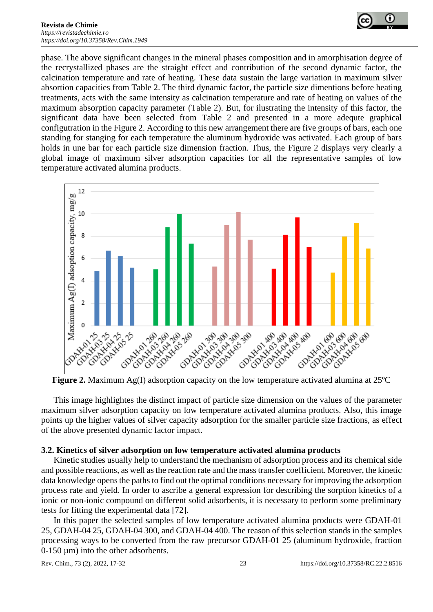

phase. The above significant changes in the mineral phases composition and in amorphisation degree of the recrystallized phases are the straight effcct and contribution of the second dynamic factor, the calcination temperature and rate of heating. These data sustain the large variation in maximum silver absortion capacities from Table 2. The third dynamic factor, the particle size dimentions before heating treatments, acts with the same intensity as calcination temperature and rate of heating on values of the maximum absorption capacity parameter (Table 2). But, for ilustrating the intensity of this factor, the significant data have been selected from Table 2 and presented in a more adequte graphical configutration in the Figure 2. According to this new arrangement there are five groups of bars, each one standing for stanging for each temperature the aluminum hydroxide was activated. Each group of bars holds in une bar for each particle size dimension fraction. Thus, the Figure 2 displays very clearly a global image of maximum silver adsorption capacities for all the representative samples of low temperature activated alumina products.



This image highlightes the distinct impact of particle size dimension on the values of the parameter maximum silver adsorption capacity on low temperature activated alumina products. Also, this image points up the higher values of silver capacity adsorption for the smaller particle size fractions, as effect of the above presented dynamic factor impact.

## **3.2. Kinetics of silver adsorption on low temperature activated alumina products**

Kinetic studies usually help to understand the mechanism of adsorption process and its chemical side and possible reactions, as well as the reaction rate and the mass transfer coefficient. Moreover, the kinetic data knowledge opens the paths to find out the optimal conditions necessary for improving the adsorption process rate and yield. In order to ascribe a general expression for describing the sorption kinetics of a ionic or non-ionic compound on different solid adsorbents, it is necessary to perform some preliminary tests for fitting the experimental data [72].

In this paper the selected samples of low temperature activated alumina products were GDAH-01 25, GDAH-04 25, GDAH-04 300, and GDAH-04 400. The reason of this selection stands in the samples processing ways to be converted from the raw precursor GDAH-01 25 (aluminum hydroxide, fraction 0-150 µm) into the other adsorbents.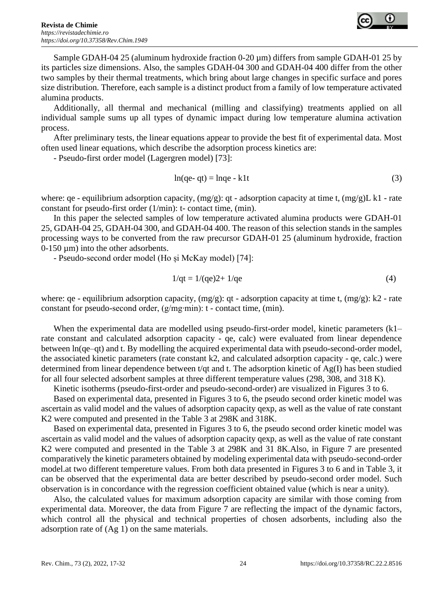

Sample GDAH-04 25 (aluminum hydroxide fraction 0-20 µm) differs from sample GDAH-01 25 by its particles size dimensions. Also, the samples GDAH-04 300 and GDAH-04 400 differ from the other two samples by their thermal treatments, which bring about large changes in specific surface and pores size distribution. Therefore, each sample is a distinct product from a family of low temperature activated alumina products.

Additionally, all thermal and mechanical (milling and classifying) treatments applied on all individual sample sums up all types of dynamic impact during low temperature alumina activation process.

After preliminary tests, the linear equations appear to provide the best fit of experimental data. Most often used linear equations, which describe the adsorption process kinetics are:

- Pseudo-first order model (Lagergren model) [73]:

$$
\ln(\text{qe- qt}) = \text{lnqe - k1t} \tag{3}
$$

where: qe - equilibrium adsorption capacity,  $(mg/g)$ : qt - adsorption capacity at time t,  $(mg/g)L k1$  - rate constant for pseudo-first order (1/min): t- contact time, (min).

In this paper the selected samples of low temperature activated alumina products were GDAH-01 25, GDAH-04 25, GDAH-04 300, and GDAH-04 400. The reason of this selection stands in the samples processing ways to be converted from the raw precursor GDAH-01 25 (aluminum hydroxide, fraction 0-150 µm) into the other adsorbents.

- Pseudo-second order model (Ho și McKay model) [74]:

$$
1/\text{qt} = 1/(\text{qe})2 + 1/\text{qe}
$$
\n
$$
\tag{4}
$$

where: qe - equilibrium adsorption capacity,  $(mg/g)$ : qt - adsorption capacity at time t,  $(mg/g)$ : k2 - rate constant for pseudo-second order, (g/mg∙min): t - contact time, (min).

When the experimental data are modelled using pseudo-first-order model, kinetic parameters (k1– rate constant and calculated adsorption capacity - qe, calc) were evaluated from linear dependence between ln(qe–qt) and t. By modelling the acquired experimental data with pseudo-second-order model, the associated kinetic parameters (rate constant k2, and calculated adsorption capacity - qe, calc.) were determined from linear dependence between t/qt and t. The adsorption kinetic of Ag(I) has been studied for all four selected adsorbent samples at three different temperature values (298, 308, and 318 K).

Kinetic isotherms (pseudo-first-order and pseudo-second-order) are visualized in Figures 3 to 6.

Based on experimental data, presented in Figures 3 to 6, the pseudo second order kinetic model was ascertain as valid model and the values of adsorption capacity qexp, as well as the value of rate constant K2 were computed and presented in the Table 3 at 298K and 318K.

Based on experimental data, presented in Figures 3 to 6, the pseudo second order kinetic model was ascertain as valid model and the values of adsorption capacity qexp, as well as the value of rate constant K2 were computed and presented in the Table 3 at 298K and 31 8K.Also, in Figure 7 are presented comparatively the kinetic parameters obtained by modeling experimental data with pseudo-second-order model.at two different tempereture values. From both data presented in Figures 3 to 6 and in Table 3, it can be observed that the experimental data are better described by pseudo-second order model. Such observation is in concordance with the regression coefficient obtained value (which is near a unity).

Also, the calculated values for maximum adsorption capacity are similar with those coming from experimental data. Moreover, the data from Figure 7 are reflecting the impact of the dynamic factors, which control all the physical and technical properties of chosen adsorbents, including also the adsorption rate of (Ag 1) on the same materials.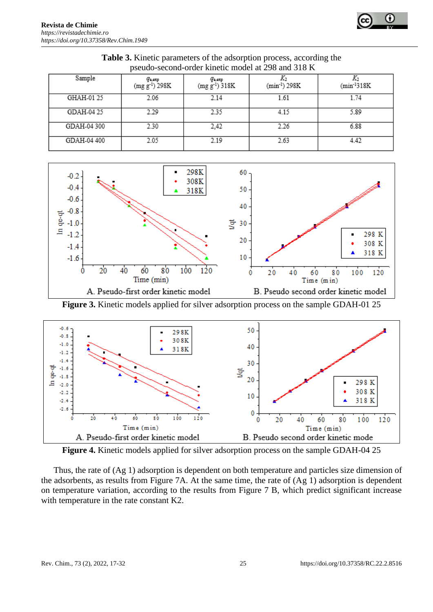| $p$ seudo-second-order Kinetic moder at $298$ and $318$ N |             |                                       |                                                |                           |                  |  |  |
|-----------------------------------------------------------|-------------|---------------------------------------|------------------------------------------------|---------------------------|------------------|--|--|
|                                                           | Sample      | $q_{\text{o,exp}}$<br>$(mg g-1) 298K$ | $q_{\text{\tiny a,exp}}$<br>$(mg g^{-1}) 318K$ | (min <sup>-1</sup> ) 298K | $(min^{-1}318K)$ |  |  |
|                                                           | GHAH-01 25  | 2.06                                  | 2.14                                           | 1.61                      | 1.74             |  |  |
|                                                           | GDAH-04 25  | 2.29                                  | 235                                            | 4.15                      | 5.89             |  |  |
|                                                           | GDAH-04 300 | 2.30                                  | 2.42                                           | 2.26                      | 6.88             |  |  |
|                                                           | GDAH-04 400 | 2.05                                  | 2.19                                           | 2.63                      | 4.42             |  |  |

**Table 3.** Kinetic parameters of the adsorption process, according the pseudo-second-order kinetic model at 298 and 318 K



**Figure 3.** Kinetic models applied for silver adsorption process on the sample GDAH-01 25



**Figure 4.** Kinetic models applied for silver adsorption process on the sample GDAH-04 25

Thus, the rate of (Ag 1) adsorption is dependent on both temperature and particles size dimension of the adsorbents, as results from Figure 7A. At the same time, the rate of (Ag 1) adsorption is dependent on temperature variation, according to the results from Figure 7 B, which predict significant increase with temperature in the rate constant K2.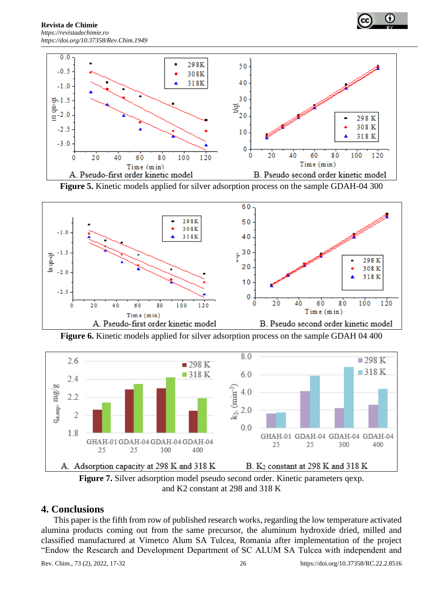



**Figure 5.** Kinetic models applied for silver adsorption process on the sample GDAH-04 300



**Figure 6.** Kinetic models applied for silver adsorption process on the sample GDAH 04 400



**Figure 7.** Silver adsorption model pseudo second order. Kinetic parameters qexp. and K2 constant at 298 and 318 K

# **4. Conclusions**

This paper is the fifth from row of published research works, regarding the low temperature activated alumina products coming out from the same precursor, the aluminum hydroxide dried, milled and classified manufactured at Vimetco Alum SA Tulcea, Romania after implementation of the project "Endow the Research and Development Department of SC ALUM SA Tulcea with independent and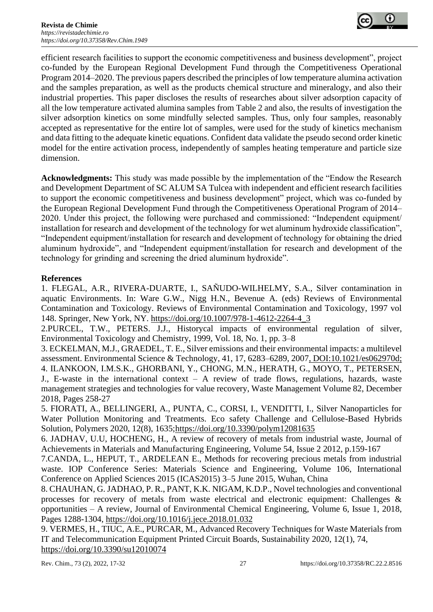

efficient research facilities to support the economic competitiveness and business development", project co-funded by the European Regional Development Fund through the Competitiveness Operational Program 2014–2020. The previous papers described the principles of low temperature alumina activation and the samples preparation, as well as the products chemical structure and mineralogy, and also their industrial properties. This paper discloses the results of researches about silver adsorption capacity of all the low temperature activated alumina samples from Table 2 and also, the results of investigation the silver adsorption kinetics on some mindfully selected samples. Thus, only four samples, reasonably accepted as representative for the entire lot of samples, were used for the study of kinetics mechanism and data fitting to the adequate kinetic equations. Confident data validate the pseudo second order kinetic model for the entire activation process, independently of samples heating temperature and particle size dimension.

**Acknowledgments:** This study was made possible by the implementation of the "Endow the Research and Development Department of SC ALUM SA Tulcea with independent and efficient research facilities to support the economic competitiveness and business development" project, which was co-funded by the European Regional Development Fund through the Competitiveness Operational Program of 2014– 2020. Under this project, the following were purchased and commissioned: "Independent equipment/ installation for research and development of the technology for wet aluminum hydroxide classification", "Independent equipment/installation for research and development of technology for obtaining the dried aluminum hydroxide", and "Independent equipment/installation for research and development of the technology for grinding and screening the dried aluminum hydroxide".

## **References**

1. FLEGAL, A.R., RIVERA-DUARTE, I., SAÑUDO-WILHELMY, S.A., Silver contamination in aquatic Environments. In: Ware G.W., Nigg H.N., Bevenue A. (eds) Reviews of Environmental Contamination and Toxicology. Reviews of Environmental Contamination and Toxicology, 1997 vol 148. Springer, New York, NY. https://doi.org/10.1007/978-1-4612-2264-4\_3

2.PURCEL, T.W., PETERS. J.J., Historycal impacts of environmental regulation of silver, Environmental Toxicology and Chemistry, 1999, Vol. 18, No. 1, pp. 3–8

3. ECKELMAN, M.J., GRAEDEL, T. E., Silver emissions and their environmental impacts: a multilevel assessment. Environmental Science & Technology, 41, 17, 6283–6289, 2007, DOI:10.1021/es062970d; 4. ILANKOON, I.M.S.K., GHORBANI, Y., CHONG, M.N., HERATH, G., MOYO, T., PETERSEN, J., E-waste in the international context – A review of trade flows, regulations, hazards, waste management strategies and technologies for value recovery, Waste Management Volume 82, December 2018, Pages 258-27

5. FIORATI, A., BELLINGERI, A., PUNTA, C., CORSI, I., VENDITTI, I., Silver Nanoparticles for Water Pollution Monitoring and Treatments. Eco safety Challenge and Cellulose-Based Hybrids Solution, Polymers 2020, 12(8), 1635;https://doi.org/10.3390/polym12081635

6. JADHAV, U.U, HOCHENG, H., A review of recovery of metals from industrial waste, Journal of Achievements in Materials and Manufacturing Engineering, Volume 54, Issue 2 2012, p.159-167

7.CANDA, L., HEPUT, T., ARDELEAN E., Methods for recovering precious metals from industrial waste. IOP Conference Series: Materials Science and Engineering, Volume 106, International Conference on Applied Sciences 2015 (ICAS2015) 3–5 June 2015, Wuhan, China

8. CHAUHAN, G. JADHAO, P. R., PANT, K.K. NIGAM, K.D.P., Novel technologies and conventional processes for recovery of metals from waste electrical and electronic equipment: Challenges & opportunities – A review, Journal of Environmental Chemical Engineering, Volume 6, Issue 1, 2018, Pages 1288-1304,<https://doi.org/10.1016/j.jece.2018.01.032>

9. VERMES, H., TIUC, A.E., PURCAR, M., Advanced Recovery Techniques for Waste Materials from IT and Telecommunication Equipment Printed Circuit Boards, Sustainability 2020, 12(1), 74, https://doi.org/10.3390/su12010074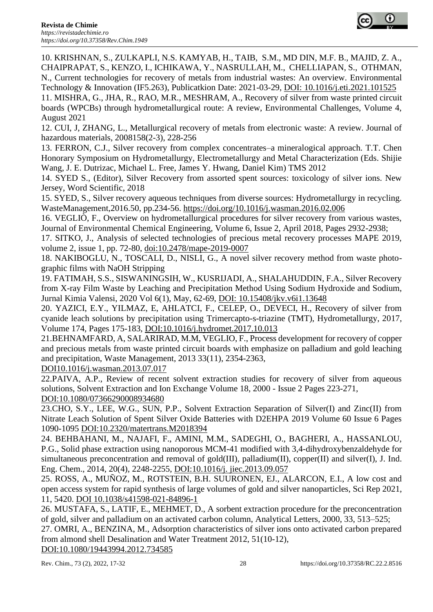

10. KRISHNAN, S., ZULKAPLI, N.S. KAMYAB, H., TAIB, S.M., MD DIN, M.F. B., MAJID, Z. A., CHAIPRAPAT, S., KENZO, I., ICHIKAWA, Y., NASRULLAH, M., CHELLIAPAN, S., OTHMAN, N., Current technologies for recovery of metals from industrial wastes: An overview. Environmental

Technology & Innovation (IF5.263), Publicatkion Date: 2021-03-29, DOI: 10.1016/j.eti.2021.101525 11. MISHRA, G., JHA, R., RAO, M.R., MESHRAM, A., Recovery of silver from waste printed circuit boards (WPCBs) through hydrometallurgical route: A review, Environmental Challenges, Volume 4, August 2021

12. CUI, J, ZHANG, L., Metallurgical recovery of metals from electronic waste: A review. Journal of hazardous materials, 2008158(2-3), 228-256

13. FERRON, C.J., Silver recovery from complex concentrates–a mineralogical approach. T.T. Chen Honorary Symposium on Hydrometallurgy, Electrometallurgy and Metal Characterization (Eds. Shijie Wang, J. E. Dutrizac, Michael L. Free, James Y. Hwang, Daniel Kim) TMS 2012

14. SYED S., (Editor), Silver Recovery from assorted spent sources: toxicology of silver ions. New Jersey, Word Scientific, 2018

15. SYED, S., Silver recovery aqueous techniques from diverse sources: Hydrometallurgy in recycling. WasteManagement,2016.50, pp.234-56. https://doi.org/10.1016/j.wasman.2016.02.006

16. VEGLIÒ, F., Overview on hydrometallurgical procedures for silver recovery from various wastes, Journal of Environmental Chemical Engineering, Volume 6, Issue 2, April 2018, Pages 2932-2938;

17. SITKO, J., Analysis of selected technologies of precious metal recovery processes MAPE 2019, volume 2, issue 1, pp. 72-80, doi:10.2478/mape-2019-0007

18. NAKIBOGLU, N., TOSCALI, D., NISLI, G., A novel silver recovery method from waste photographic films with NaOH Stripping

19. FATIMAH, S.S., SISWANINGSIH, W., KUSRIJADI, A., SHALAHUDDIN, F.A., Silver Recovery from X-ray Film Waste by Leaching and Precipitation Method Using Sodium Hydroxide and Sodium, Jurnal Kimia Valensi, 2020 Vol 6(1), May, 62-69, DOI: 10.15408/jkv.v6i1.13648

20. YAZICI, E.Y., YILMAZ, E, AHLATCI, F., CELEP, O., DEVECI, H., Recovery of silver from cyanide leach solutions by precipitation using Trimercapto-s-triazine (TMT), Hydrometallurgy, 2017, Volume 174, Pages 175-183, DOI:10.1016/j.hydromet.2017.10.013

21.BEHNAMFARD, A, SALARIRAD, M.M, VEGLIO, F., Process development for recovery of copper and precious metals from waste printed circuit boards with emphasize on palladium and gold leaching and precipitation, Waste Management, 2013 33(11), 2354-2363,

DOI10.1016/j.wasman.2013.07.017

22.PAIVA, A.P., Review of recent solvent extraction studies for recovery of silver from aqueous solutions, Solvent Extraction and Ion Exchange Volume 18, 2000 - Issue 2 Pages 223-271, DOI:10.1080/07366290008934680

23.CHO, S.Y., LEE, W.G., SUN, P.P., Solvent Extraction Separation of Silver(I) and Zinc(II) from Nitrate Leach Solution of Spent Silver Oxide Batteries with D2EHPA 2019 Volume 60 Issue 6 Pages 1090-1095 DOI:10.2320/matertrans.M2018394

24. BEHBAHANI, M., NAJAFI, F., AMINI, M.M., SADEGHI, O., BAGHERI, A., HASSANLOU, P.G., Solid phase extraction using nanoporous MCM-41 modified with 3,4-dihydroxybenzaldehyde for simultaneous preconcentration and removal of gold(III), palladium(II), copper(II) and silver(I), J. Ind. Eng. Chem., 2014, 20(4), 2248-2255, DOI:10.1016/j. jiec.2013.09.057

25. ROSS, A., MUÑOZ, M., ROTSTEIN, B.H. SUURONEN, EJ., ALARCON, E.I., A low cost and open access system for rapid synthesis of large volumes of gold and silver nanoparticles, Sci Rep 2021, 11, 5420. DOI 10.1038/s41598-021-84896-1

26. MUSTAFA, S., LATIF, E., MEHMET, D., A sorbent extraction procedure for the preconcentration of gold, silver and palladium on an activated carbon column, Analytical Letters, 2000, 33, 513–525;

27. OMRI, A., BENZINA, M., Adsorption characteristics of silver ions onto activated carbon prepared from almond shell Desalination and Water Treatment 2012, 51(10-12),

DOI:10.1080/19443994.2012.734585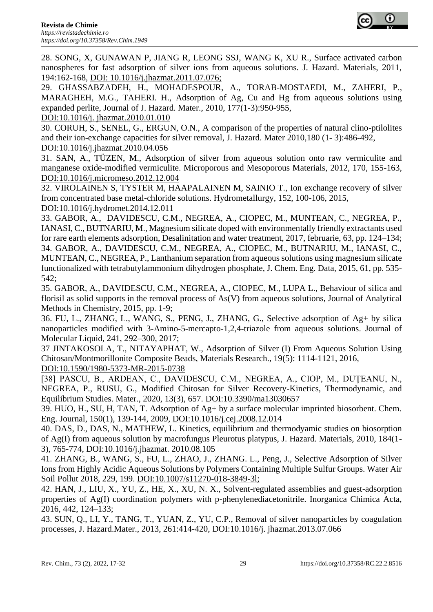

28. SONG, X, GUNAWAN P, JIANG R, LEONG SSJ, WANG K, XU R., Surface activated carbon nanospheres for fast adsorption of silver ions from aqueous solutions. J. Hazard. Materials, 2011, 194:162-168, DOI: 10.1016/j.jhazmat.2011.07.076;

29. GHASSABZADEH, H., MOHADESPOUR, A., TORAB-MOSTAEDI, M., ZAHERI, P., MARAGHEH, M.G., TAHERI. H., Adsorption of Ag, Cu and Hg from aqueous solutions using expanded perlite, Journal of J. Hazard. Mater., 2010, 177(1-3):950-955,

DOI:10.1016/j. jhazmat.2010.01.010

30. CORUH, S., SENEL, G., ERGUN, O.N., A comparison of the properties of natural clino-ptilolites and their ion-exchange capacities for silver removal, J. Hazard. Mater 2010,180 (1- 3):486-492, DOI:10.1016/j.jhazmat.2010.04.056

31. SAN, A., TÜZEN, M., Adsorption of silver from aqueous solution onto raw vermiculite and manganese oxide-modified vermiculite. Microporous and Mesoporous Materials, 2012, 170, 155-163, DOI:10.1016/j.micromeso.2012.12.004

32. VIROLAINEN S, TYSTER M, HAAPALAINEN M, SAINIO T., Ion exchange recovery of silver from concentrated base metal-chloride solutions. Hydrometallurgy, 152, 100-106, 2015, DOI:10.1016/j.hydromet.2014.12.011

33. GABOR, A., DAVIDESCU, C.M., NEGREA, A., CIOPEC, M., MUNTEAN, C., NEGREA, P., IANASI, C., BUTNARIU, M., Magnesium silicate doped with environmentally friendly extractants used for rare earth elements adsorption, Desalinitation and water treatment, 2017, februarie, 63, pp. 124–134; 34. GABOR, A., DAVIDESCU, C.M., NEGREA, A., CIOPEC, M., BUTNARIU, M., IANASI, C., MUNTEAN, C., NEGREA, P., Lanthanium separation from aqueous solutions using magnesium silicate functionalized with tetrabutylammonium dihydrogen phosphate, J. Chem. Eng. Data, 2015, 61, pp. 535- 542;

35. GABOR, A., DAVIDESCU, C.M., NEGREA, A., CIOPEC, M., LUPA L., Behaviour of silica and florisil as solid supports in the removal process of As(V) from aqueous solutions, Journal of Analytical Methods in Chemistry, 2015, pp. 1-9;

36. FU, L., ZHANG, L., WANG, S., PENG, J., ZHANG, G., Selective adsorption of Ag+ by silica nanoparticles modified with 3-Amino-5-mercapto-1,2,4-triazole from aqueous solutions. Journal of Molecular Liquid, 241, 292–300, 2017;

37 JINTAKOSOLA, T., NITAYAPHAT, W., Adsorption of Silver (I) From Aqueous Solution Using Chitosan/Montmorillonite Composite Beads, Materials Research., 19(5): 1114-1121, 2016, DOI:10.1590/1980-5373-MR-2015-0738

[38] PASCU, B., ARDEAN, C., DAVIDESCU, C.M., NEGREA, A., CIOP, M., DUȚEANU, N., NEGREA, P., RUSU, G., Modified Chitosan for Silver Recovery-Kinetics, Thermodynamic, and Equilibrium Studies. Mater., 2020, 13(3), 657. DOI:10.3390/ma13030657

39. HUO, H., SU, H, TAN, T. Adsorption of Ag+ by a surface molecular imprinted biosorbent. Chem. Eng. Journal, 150(1), 139-144, 2009, DOI:10.1016/j.cej.2008.12.014

40. DAS, D., DAS, N., MATHEW, L. Kinetics, equilibrium and thermodyamic studies on biosorption of Ag(I) from aqueous solution by macrofungus Pleurotus platypus, J. Hazard. Materials, 2010, 184(1- 3), 765-774, DOI:10.1016/j.jhazmat. 2010.08.105

41. ZHANG, B., WANG, S., FU, L., ZHAO, J., ZHANG. L., Peng, J., Selective Adsorption of Silver Ions from Highly Acidic Aqueous Solutions by Polymers Containing Multiple Sulfur Groups. Water Air Soil Pollut 2018, 229, 199. DOI:10.1007/s11270-018-3849-3l;

42. HAN, J., LIU, X., YU, Z., HE, X., XU, N. X., Solvent-regulated assemblies and guest-adsorption properties of Ag(I) coordination polymers with p-phenylenediacetonitrile. Inorganica Chimica Acta, 2016, 442, 124–133;

43. SUN, Q., LI, Y., TANG, T., YUAN, Z., YU, C.P., Removal of silver nanoparticles by coagulation processes, J. Hazard.Mater., 2013, 261:414-420, DOI:10.1016/j. jhazmat.2013.07.066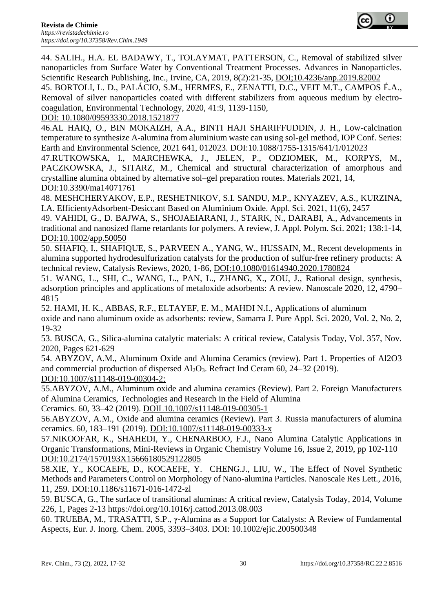

44. SALIH., H.A. EL BADAWY, T., TOLAYMAT, PATTERSON, C., Removal of stabilized silver nanoparticles from Surface Water by Conventional Treatment Processes. Advances in Nanoparticles. Scientific Research Publishing, Inc., Irvine, CA, 2019, 8(2):21-35, DOI;10.4236/anp.2019.82002

45. BORTOLI, L. D., PALÁCIO, S.M., HERMES, E., ZENATTI, D.C., VEIT M.T., CAMPOS É.A., Removal of silver nanoparticles coated with different stabilizers from aqueous medium by electrocoagulation, Environmental Technology, 2020, 41:9, 1139-1150,

DOI: 10.1080/09593330.2018.1521877

46.AL HAIQ, O., BIN MOKAIZH, A.A., BINTI HAJI SHARIFFUDDIN, J. H., Low-calcination temperature to synthesize A-alumina from aluminium waste can using sol-gel method, IOP Conf. Series: Earth and Environmental Science, 2021 641, 012023. DOI:10.1088/1755-1315/641/1/012023

47.RUTKOWSKA, I., MARCHEWKA, J., JELEN, P., ODZIOMEK, M., KORPYS, M., PACZKOWSKA, J., SITARZ, M., Chemical and structural characterization of amorphous and crystalline alumina obtained by alternative sol–gel preparation routes. Materials 2021, 14, DOI:10.3390/ma14071761

48. MESHCHERYAKOV, E.P., RESHETNIKOV, S.I. SANDU, M.P., KNYAZEV, A.S., KURZINA, I.A. EfficientyAdsorbent-Desiccant Based on Aluminium Oxide. Appl. Sci. 2021, 11(6), 2457

49. VAHIDI, G., D. BAJWA, S., SHOJAEIARANI, J., STARK, N., DARABI, A., Advancements in traditional and nanosized flame retardants for polymers. A review, J. Appl. Polym. Sci. 2021; 138:1-14, DOI:10.1002/app.50050

50. SHAFIQ, I., SHAFIQUE, S., PARVEEN A., YANG, W., HUSSAIN, M., Recent developments in alumina supported hydrodesulfurization catalysts for the production of sulfur-free refinery products: A technical review, Catalysis Reviews, 2020, 1-86, DOI:10.1080/01614940.2020.1780824

51. WANG, L., SHI, C., WANG, L., PAN, L., ZHANG, X., ZOU, J., Rational design, synthesis, adsorption principles and applications of metaloxide adsorbents: A review. Nanoscale 2020, 12, 4790– 4815

52. HAMI, H. K., ABBAS, R.F., ELTAYEF, E. M., MAHDI N.I., Applications of aluminum oxide and nano aluminum oxide as adsorbents: review, Samarra J. Pure Appl. Sci. 2020, Vol. 2, No. 2, 19-32

53. BUSCA, G., Silica-alumina catalytic materials: A critical review, Catalysis Today, Vol. 357, Nov. 2020, Pages 621-629

54. ABYZOV, A.M., Aluminum Oxide and Alumina Ceramics (review). Part 1. Properties of Al2O3 and commercial production of dispersed Al2O3. Refract Ind Ceram 60, 24–32 (2019). DOI:10.1007/s11148-019-00304-2;

55.ABYZOV, A.M., Aluminum oxide and alumina ceramics (Review). Part 2. Foreign Manufacturers

of Alumina Ceramics, Technologies and Research in the Field of Alumina

Ceramics. 60, 33–42 (2019). DOIL10.1007/s11148-019-00305-1

56.ABYZOV, A.M., Oxide and alumina ceramics (Review). Part 3. Russia manufacturers of alumina ceramics. 60, 183–191 (2019). DOI:10.1007/s11148-019-00333-x

57.NIKOOFAR, K., SHAHEDI, Y., CHENARBOO, F.J., Nano Alumina Catalytic Applications in Organic Transformations, Mini-Reviews in Organic Chemistry Volume 16, Issue 2, 2019, pp 102-110 DOI:10.2174/1570193X15666180529122805

58.XIE, Y., KOCAEFE, D., KOCAEFE, Y. CHENG.J., LIU, W., The Effect of Novel Synthetic Methods and Parameters Control on Morphology of Nano-alumina Particles. Nanoscale Res Lett., 2016, 11, 259. DOI:10.1186/s11671-016-1472-zl

59. BUSCA, G., The surface of transitional aluminas: A critical review, Catalysis Today, 2014, Volume 226, 1, Pages 2-13 https://doi.org/10.1016/j.cattod.2013.08.003

60. TRUEBA, M., TRASATTI, S.P., γ-Alumina as a Support for Catalysts: A Review of Fundamental Aspects, Eur. J. Inorg. Chem. 2005, 3393–3403. DOI: 10.1002/ejic.200500348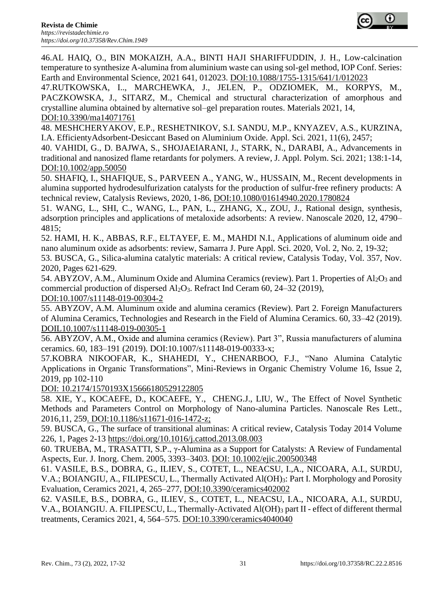

46.AL HAIQ, O., BIN MOKAIZH, A.A., BINTI HAJI SHARIFFUDDIN, J. H., Low-calcination temperature to synthesize A-alumina from aluminium waste can using sol-gel method, IOP Conf. Series: Earth and Environmental Science, 2021 641, 012023. DOI:10.1088/1755-1315/641/1/012023

47.RUTKOWSKA, I.., MARCHEWKA, J., JELEN, P., ODZIOMEK, M., KORPYS, M., PACZKOWSKA, J., SITARZ, M., Chemical and structural characterization of amorphous and crystalline alumina obtained by alternative sol–gel preparation routes. Materials 2021, 14, DOI:10.3390/ma14071761

48. MESHCHERYAKOV, E.P., RESHETNIKOV, S.I. SANDU, M.P., KNYAZEV, A.S., KURZINA, I.A. EfficientyAdsorbent-Desiccant Based on Aluminium Oxide. Appl. Sci. 2021, 11(6), 2457;

40. VAHIDI, G., D. BAJWA, S., SHOJAEIARANI, J., STARK, N., DARABI, A., Advancements in traditional and nanosized flame retardants for polymers. A review, J. Appl. Polym. Sci. 2021; 138:1-14, DOI:10.1002/app.50050

50. SHAFIQ, I., SHAFIQUE, S., PARVEEN A., YANG, W., HUSSAIN, M., Recent developments in alumina supported hydrodesulfurization catalysts for the production of sulfur-free refinery products: A technical review, Catalysis Reviews, 2020, 1-86, DOI:10.1080/01614940.2020.1780824

51. WANG, L., SHI, C., WANG, L., PAN, L., ZHANG, X., ZOU, J., Rational design, synthesis, adsorption principles and applications of metaloxide adsorbents: A review. Nanoscale 2020, 12, 4790– 4815;

52. HAMI, H. K., ABBAS, R.F., ELTAYEF, E. M., MAHDI N.I., Applications of aluminum oide and nano aluminum oxide as adsorbents: review, Samarra J. Pure Appl. Sci. 2020, Vol. 2, No. 2, 19-32;

53. BUSCA, G., Silica-alumina catalytic materials: A critical review, Catalysis Today, Vol. 357, Nov. 2020, Pages 621-629.

54. ABYZOV, A.M., Aluminum Oxide and Alumina Ceramics (review). Part 1. Properties of Al<sub>2</sub>O<sub>3</sub> and commercial production of dispersed Al2O3. Refract Ind Ceram 60, 24–32 (2019), DOI:10.1007/s11148-019-00304-2

55. ABYZOV, A.M. Aluminum oxide and alumina ceramics (Review). Part 2. Foreign Manufacturers of Alumina Ceramics, Technologies and Research in the Field of Alumina Ceramics. 60, 33–42 (2019). DOIL10.1007/s11148-019-00305-1

56. ABYZOV, A.M., Oxide and alumina ceramics (Review). Part 3", Russia manufacturers of alumina ceramics. 60, 183–191 (2019). DOI:10.1007/s11148-019-00333-x;

57.KOBRA NIKOOFAR, K., SHAHEDI, Y., CHENARBOO, F.J., "Nano Alumina Catalytic Applications in Organic Transformations", Mini-Reviews in Organic Chemistry Volume 16, Issue 2, 2019, pp 102-110

DOI: 10.2174/1570193X15666180529122805

58. XIE, Y., KOCAEFE, D., KOCAEFE, Y., CHENG.J., LIU, W., The Effect of Novel Synthetic Methods and Parameters Control on Morphology of Nano-alumina Particles. Nanoscale Res Lett., 2016,11, 259. DOI:10.1186/s11671-016-1472-z;

59. BUSCA, G., The surface of transitional aluminas: A critical review, Catalysis Today 2014 Volume 226, 1, Pages 2-13 https://doi.org/10.1016/j.cattod.2013.08.003

60. TRUEBA, M., TRASATTI, S.P., γ-Alumina as a Support for Catalysts: A Review of Fundamental Aspects, Eur. J. Inorg. Chem. 2005, 3393–3403. DOI: 10.1002/ejic.200500348

61. VASILE, B.S., DOBRA, G., ILIEV, S., COTET, L., NEACSU, I.,A., NICOARA, A.I., SURDU, V.A.; BOIANGIU, A., FILIPESCU, L., Thermally Activated Al(OH)3: Part I. Morphology and Porosity Evaluation, Ceramics 2021, 4, 265–277, DOI:10.3390/ceramics402002

62. VASILE, B.S., DOBRA, G., ILIEV, S., COTET, L., NEACSU, I.A., NICOARA, A.I., SURDU, V.A., BOIANGIU. A. FILIPESCU, L., Thermally-Activated Al(OH)<sup>3</sup> part II - effect of different thermal treatments, Ceramics 2021, 4, 564–575. DOI:10.3390/ceramics4040040